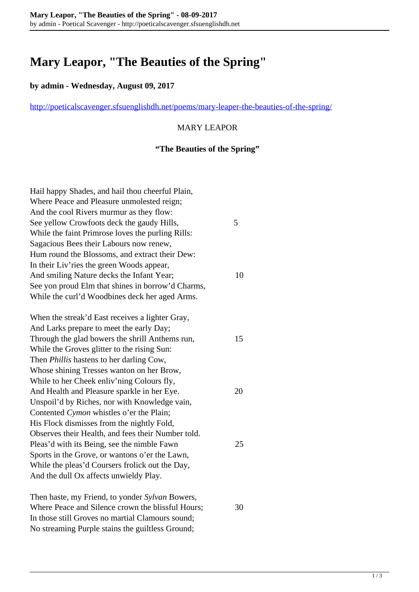# **Mary Leapor, "The Beauties of the Spring"**

### **by admin - Wednesday, August 09, 2017**

<http://poeticalscavenger.sfsuenglishdh.net/poems/mary-leaper-the-beauties-of-the-spring/>

## MARY LEAPOR

## **"The Beauties of the Spring"**

| Hail happy Shades, and hail thou cheerful Plain,   |    |
|----------------------------------------------------|----|
| Where Peace and Pleasure unmolested reign;         |    |
| And the cool Rivers murmur as they flow:           |    |
| See yellow Crowfoots deck the gaudy Hills,         | 5  |
| While the faint Primrose loves the purling Rills:  |    |
| Sagacious Bees their Labours now renew,            |    |
| Hum round the Blossoms, and extract their Dew:     |    |
| In their Liv'ries the green Woods appear,          |    |
| And smiling Nature decks the Infant Year;          | 10 |
| See yon proud Elm that shines in borrow'd Charms,  |    |
| While the curl'd Woodbines deck her aged Arms.     |    |
| When the streak'd East receives a lighter Gray,    |    |
| And Larks prepare to meet the early Day;           |    |
| Through the glad bowers the shrill Anthems run,    | 15 |
| While the Groves glitter to the rising Sun:        |    |
| Then <i>Phillis</i> hastens to her darling Cow,    |    |
| Whose shining Tresses wanton on her Brow,          |    |
| While to her Cheek enliv'ning Colours fly,         |    |
| And Health and Pleasure sparkle in her Eye.        | 20 |
| Unspoil'd by Riches, nor with Knowledge vain,      |    |
| Contented Cymon whistles o'er the Plain;           |    |
| His Flock dismisses from the nightly Fold,         |    |
| Observes their Health, and fees their Number told. |    |
| Pleas'd with its Being, see the nimble Fawn        | 25 |
| Sports in the Grove, or wantons o'er the Lawn,     |    |
| While the pleas'd Coursers frolick out the Day,    |    |
| And the dull Ox affects unwieldy Play.             |    |
| Then haste, my Friend, to yonder Sylvan Bowers,    |    |
| Where Peace and Silence crown the blissful Hours;  | 30 |

In those still Groves no martial Clamours sound; No streaming Purple stains the guiltless Ground;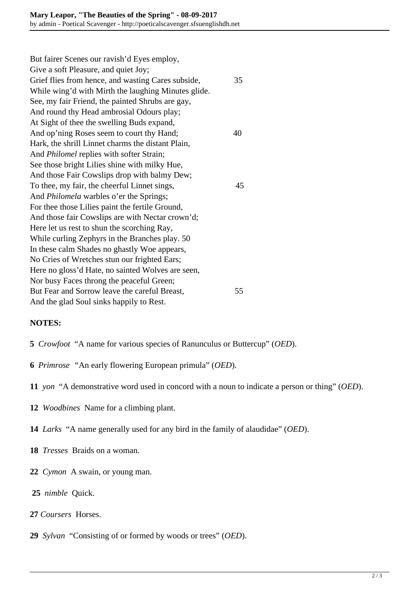But fairer Scenes our ravish'd Eyes employ, Give a soft Pleasure, and quiet Joy; Grief flies from hence, and wasting Cares subside, 35 While wing'd with Mirth the laughing Minutes glide. See, my fair Friend, the painted Shrubs are gay, And round thy Head ambrosial Odours play; At Sight of thee the swelling Buds expand, And op'ning Roses seem to court thy Hand; 40 Hark, the shrill Linnet charms the distant Plain, And *Philomel* replies with softer Strain; See those bright Lilies shine with milky Hue, And those Fair Cowslips drop with balmy Dew; To thee, my fair, the cheerful Linnet sings, 45 And *Philomela* warbles o'er the Springs; For thee those Lilies paint the fertile Ground, And those fair Cowslips are with Nectar crown'd; Here let us rest to shun the scorching Ray, While curling Zephyrs in the Branches play. 50 In these calm Shades no ghastly Woe appears, No Cries of Wretches stun our frighted Ears; Here no gloss'd Hate, no sainted Wolves are seen, Nor busy Faces throng the peaceful Green; But Fear and Sorrow leave the careful Breast, 55 And the glad Soul sinks happily to Rest.

### **NOTES:**

- **5** *Crowfoot* "A name for various species of Ranunculus or Buttercup" (*OED*).
- **6** *Primrose "*An early flowering European primula" (*OED*).
- **11** *yon* "A demonstrative word used in concord with a noun to indicate a person or thing" (*OED*).
- **12** *Woodbines* Name for a climbing plant.
- **14** *Larks* "A name generally used for any bird in the family of alaudidae" (*OED*).
- **18** *Tresses* Braids on a woman.
- **22** *Cymon* A swain, or young man.
- **25** *nimble* Quick.
- **27** *Coursers* Horses.
- **29** *Sylvan* "Consisting of or formed by woods or trees" (*OED*).